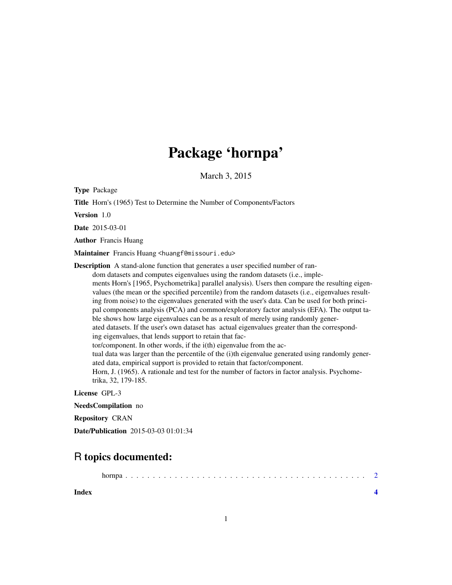## Package 'hornpa'

March 3, 2015

Type Package

Title Horn's (1965) Test to Determine the Number of Components/Factors

Version 1.0

Date 2015-03-01

Author Francis Huang

Maintainer Francis Huang <huangf@missouri.edu>

Description A stand-alone function that generates a user specified number of ran-

dom datasets and computes eigenvalues using the random datasets (i.e., implements Horn's [1965, Psychometrika] parallel analysis). Users then compare the resulting eigenvalues (the mean or the specified percentile) from the random datasets (i.e., eigenvalues resulting from noise) to the eigenvalues generated with the user's data. Can be used for both principal components analysis (PCA) and common/exploratory factor analysis (EFA). The output table shows how large eigenvalues can be as a result of merely using randomly generated datasets. If the user's own dataset has actual eigenvalues greater than the corresponding eigenvalues, that lends support to retain that factor/component. In other words, if the i(th) eigenvalue from the actual data was larger than the percentile of the (i)th eigenvalue generated using randomly generated data, empirical support is provided to retain that factor/component. Horn, J. (1965). A rationale and test for the number of factors in factor analysis. Psychometrika, 32, 179-185.

License GPL-3

NeedsCompilation no

Repository CRAN

Date/Publication 2015-03-03 01:01:34

### R topics documented:

| Index |  |
|-------|--|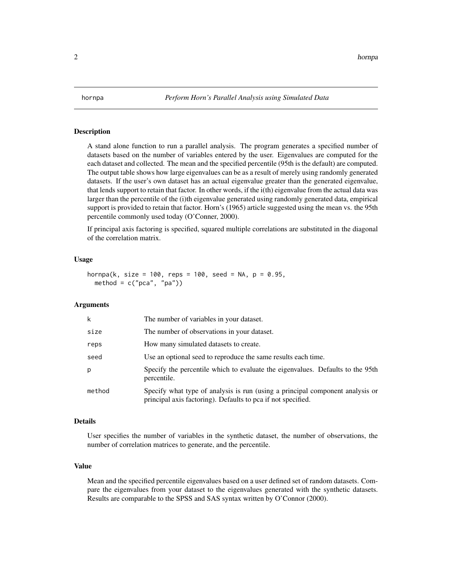<span id="page-1-0"></span>

#### Description

A stand alone function to run a parallel analysis. The program generates a specified number of datasets based on the number of variables entered by the user. Eigenvalues are computed for the each dataset and collected. The mean and the specified percentile (95th is the default) are computed. The output table shows how large eigenvalues can be as a result of merely using randomly generated datasets. If the user's own dataset has an actual eigenvalue greater than the generated eigenvalue, that lends support to retain that factor. In other words, if the i(th) eigenvalue from the actual data was larger than the percentile of the (i)th eigenvalue generated using randomly generated data, empirical support is provided to retain that factor. Horn's (1965) article suggested using the mean vs. the 95th percentile commonly used today (O'Conner, 2000).

If principal axis factoring is specified, squared multiple correlations are substituted in the diagonal of the correlation matrix.

#### Usage

```
hornpa(k, size = 100, reps = 100, seed = NA, p = 0.95,
 method = c("pca", "pa")
```
#### Arguments

| k      | The number of variables in your dataset.                                                                                                      |
|--------|-----------------------------------------------------------------------------------------------------------------------------------------------|
| size   | The number of observations in your dataset.                                                                                                   |
| reps   | How many simulated datasets to create.                                                                                                        |
| seed   | Use an optional seed to reproduce the same results each time.                                                                                 |
| р      | Specify the percentile which to evaluate the eigenvalues. Defaults to the 95th<br>percentile.                                                 |
| method | Specify what type of analysis is run (using a principal component analysis or<br>principal axis factoring). Defaults to pca if not specified. |

#### Details

User specifies the number of variables in the synthetic dataset, the number of observations, the number of correlation matrices to generate, and the percentile.

#### Value

Mean and the specified percentile eigenvalues based on a user defined set of random datasets. Compare the eigenvalues from your dataset to the eigenvalues generated with the synthetic datasets. Results are comparable to the SPSS and SAS syntax written by O'Connor (2000).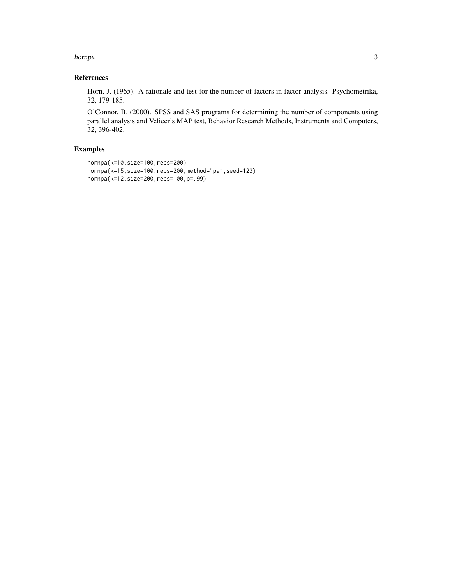#### hornpa 30 and 30 and 30 and 30 and 30 and 30 and 30 and 30 and 30 and 30 and 30 and 30 and 30 and 30 and 30 and 30 and 30 and 30 and 30 and 30 and 30 and 30 and 30 and 30 and 30 and 30 and 30 and 30 and 30 and 30 and 30 an

#### References

Horn, J. (1965). A rationale and test for the number of factors in factor analysis. Psychometrika, 32, 179-185.

O'Connor, B. (2000). SPSS and SAS programs for determining the number of components using parallel analysis and Velicer's MAP test, Behavior Research Methods, Instruments and Computers, 32, 396-402.

#### Examples

```
hornpa(k=10,size=100,reps=200)
hornpa(k=15, size=100, reps=200, method="pa", seed=123)
hornpa(k=12,size=200,reps=100,p=.99)
```